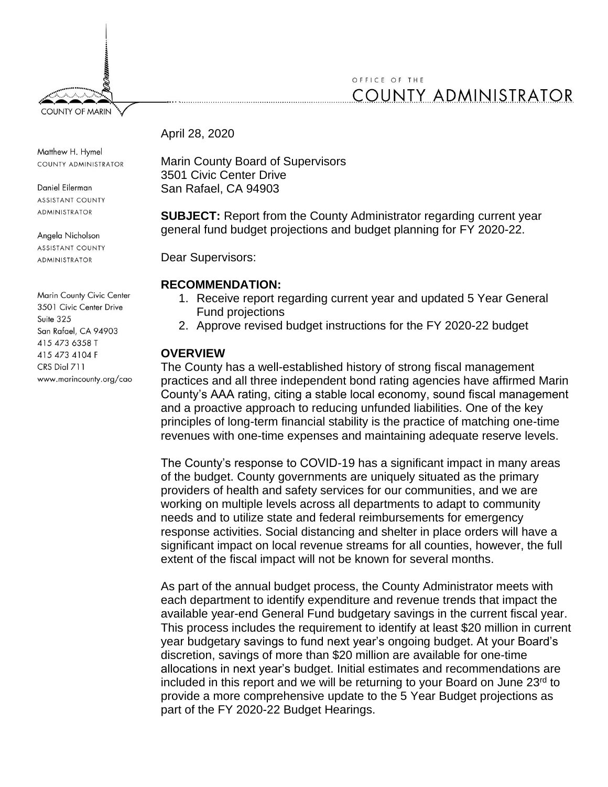# OFFICE OF THE **COUNTY ADMINISTRATOR**

April 28, 2020

Matthew H. Hymel COUNTY ADMINISTRATOR

**COUNTY OF MARIN** 

Daniel Eilerman **ASSISTANT COUNTY** ADMINISTRATOR

Angela Nicholson **ASSISTANT COUNTY ADMINISTRATOR** 

Marin County Civic Center 3501 Civic Center Drive Suite 325 San Rafael, CA 94903 415 473 6358 T 415 473 4104 F CRS Dial 711 www.marincounty.org/cao Marin County Board of Supervisors 3501 Civic Center Drive San Rafael, CA 94903

**SUBJECT:** Report from the County Administrator regarding current year general fund budget projections and budget planning for FY 2020-22.

Dear Supervisors:

# **RECOMMENDATION:**

- 1. Receive report regarding current year and updated 5 Year General Fund projections
- 2. Approve revised budget instructions for the FY 2020-22 budget

# **OVERVIEW**

The County has a well-established history of strong fiscal management practices and all three independent bond rating agencies have affirmed Marin County's AAA rating, citing a stable local economy, sound fiscal management and a proactive approach to reducing unfunded liabilities. One of the key principles of long-term financial stability is the practice of matching one-time revenues with one-time expenses and maintaining adequate reserve levels.

The County's response to COVID-19 has a significant impact in many areas of the budget. County governments are uniquely situated as the primary providers of health and safety services for our communities, and we are working on multiple levels across all departments to adapt to community needs and to utilize state and federal reimbursements for emergency response activities. Social distancing and shelter in place orders will have a significant impact on local revenue streams for all counties, however, the full extent of the fiscal impact will not be known for several months.

As part of the annual budget process, the County Administrator meets with each department to identify expenditure and revenue trends that impact the available year-end General Fund budgetary savings in the current fiscal year. This process includes the requirement to identify at least \$20 million in current year budgetary savings to fund next year's ongoing budget. At your Board's discretion, savings of more than \$20 million are available for one-time allocations in next year's budget. Initial estimates and recommendations are included in this report and we will be returning to your Board on June 23rd to provide a more comprehensive update to the 5 Year Budget projections as part of the FY 2020-22 Budget Hearings.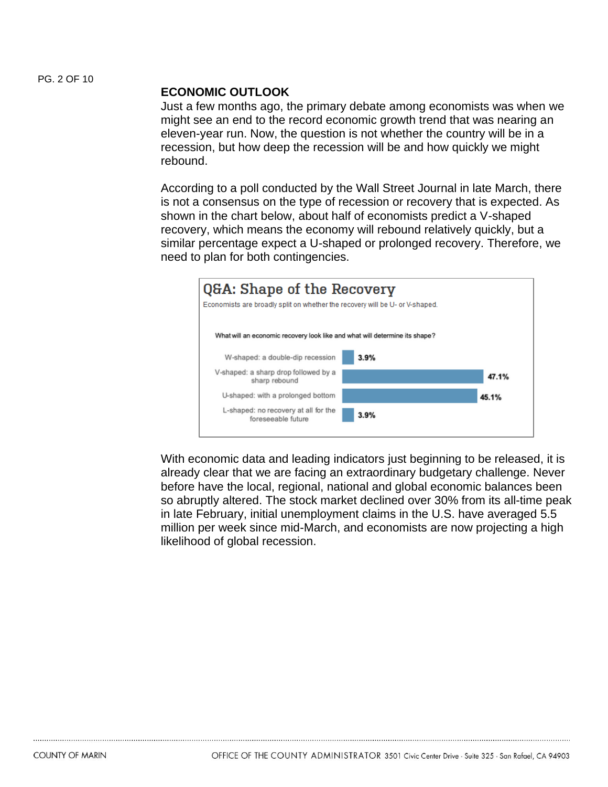#### **ECONOMIC OUTLOOK**

Just a few months ago, the primary debate among economists was when we might see an end to the record economic growth trend that was nearing an eleven-year run. Now, the question is not whether the country will be in a recession, but how deep the recession will be and how quickly we might rebound.

According to a poll conducted by the Wall Street Journal in late March, there is not a consensus on the type of recession or recovery that is expected. As shown in the chart below, about half of economists predict a V-shaped recovery, which means the economy will rebound relatively quickly, but a similar percentage expect a U-shaped or prolonged recovery. Therefore, we need to plan for both contingencies.



With economic data and leading indicators just beginning to be released, it is already clear that we are facing an extraordinary budgetary challenge. Never before have the local, regional, national and global economic balances been so abruptly altered. The stock market declined over 30% from its all-time peak in late February, initial unemployment claims in the U.S. have averaged 5.5 million per week since mid-March, and economists are now projecting a high likelihood of global recession.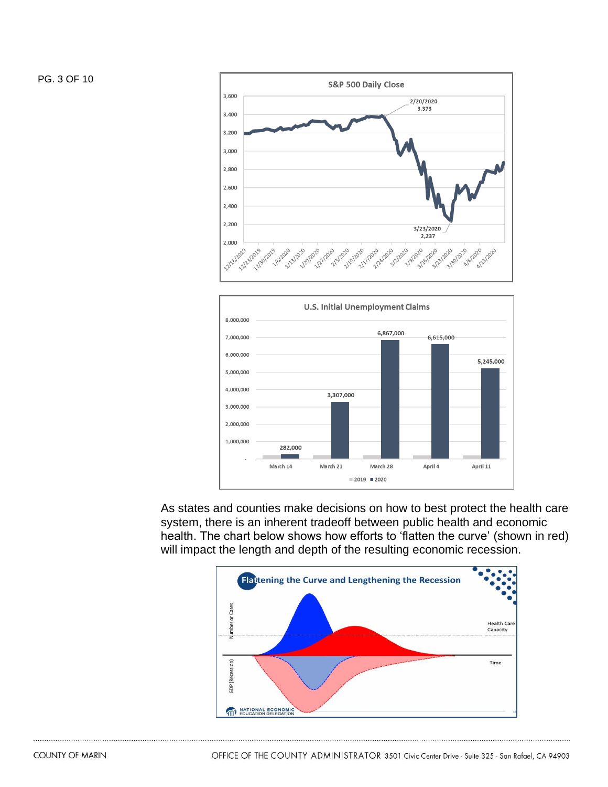PG. 3 OF 10





As states and counties make decisions on how to best protect the health care system, there is an inherent tradeoff between public health and economic health. The chart below shows how efforts to 'flatten the curve' (shown in red) will impact the length and depth of the resulting economic recession.

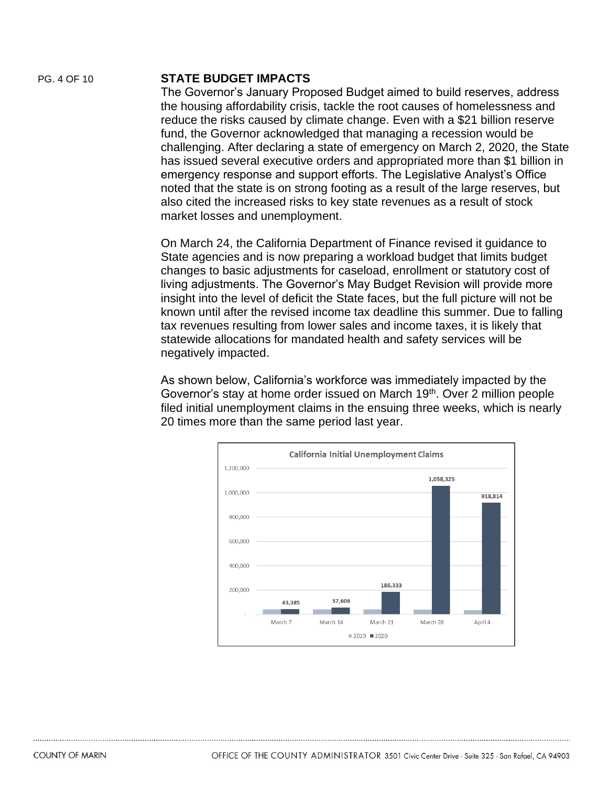#### PG. 4 OF 10 **STATE BUDGET IMPACTS**

The Governor's January Proposed Budget aimed to build reserves, address the housing affordability crisis, tackle the root causes of homelessness and reduce the risks caused by climate change. Even with a \$21 billion reserve fund, the Governor acknowledged that managing a recession would be challenging. After declaring a state of emergency on March 2, 2020, the State has issued several executive orders and appropriated more than \$1 billion in emergency response and support efforts. The Legislative Analyst's Office noted that the state is on strong footing as a result of the large reserves, but also cited the increased risks to key state revenues as a result of stock market losses and unemployment.

On March 24, the California Department of Finance revised it guidance to State agencies and is now preparing a workload budget that limits budget changes to basic adjustments for caseload, enrollment or statutory cost of living adjustments. The Governor's May Budget Revision will provide more insight into the level of deficit the State faces, but the full picture will not be known until after the revised income tax deadline this summer. Due to falling tax revenues resulting from lower sales and income taxes, it is likely that statewide allocations for mandated health and safety services will be negatively impacted.

As shown below, California's workforce was immediately impacted by the Governor's stay at home order issued on March 19<sup>th</sup>. Over 2 million people filed initial unemployment claims in the ensuing three weeks, which is nearly 20 times more than the same period last year.

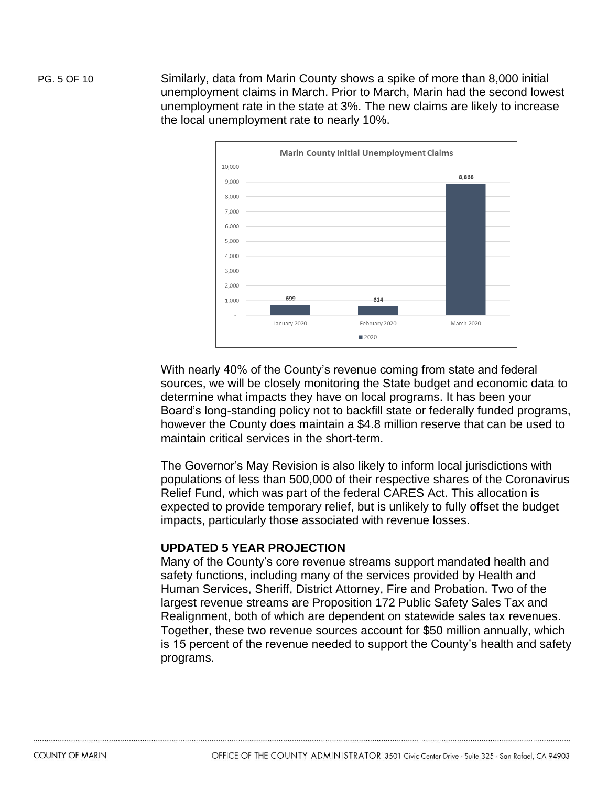PG. 5 OF 10 Similarly, data from Marin County shows a spike of more than 8,000 initial unemployment claims in March. Prior to March, Marin had the second lowest unemployment rate in the state at 3%. The new claims are likely to increase the local unemployment rate to nearly 10%.



With nearly 40% of the County's revenue coming from state and federal sources, we will be closely monitoring the State budget and economic data to determine what impacts they have on local programs. It has been your Board's long-standing policy not to backfill state or federally funded programs, however the County does maintain a \$4.8 million reserve that can be used to maintain critical services in the short-term.

The Governor's May Revision is also likely to inform local jurisdictions with populations of less than 500,000 of their respective shares of the Coronavirus Relief Fund, which was part of the federal CARES Act. This allocation is expected to provide temporary relief, but is unlikely to fully offset the budget impacts, particularly those associated with revenue losses.

### **UPDATED 5 YEAR PROJECTION**

Many of the County's core revenue streams support mandated health and safety functions, including many of the services provided by Health and Human Services, Sheriff, District Attorney, Fire and Probation. Two of the largest revenue streams are Proposition 172 Public Safety Sales Tax and Realignment, both of which are dependent on statewide sales tax revenues. Together, these two revenue sources account for \$50 million annually, which is 15 percent of the revenue needed to support the County's health and safety programs.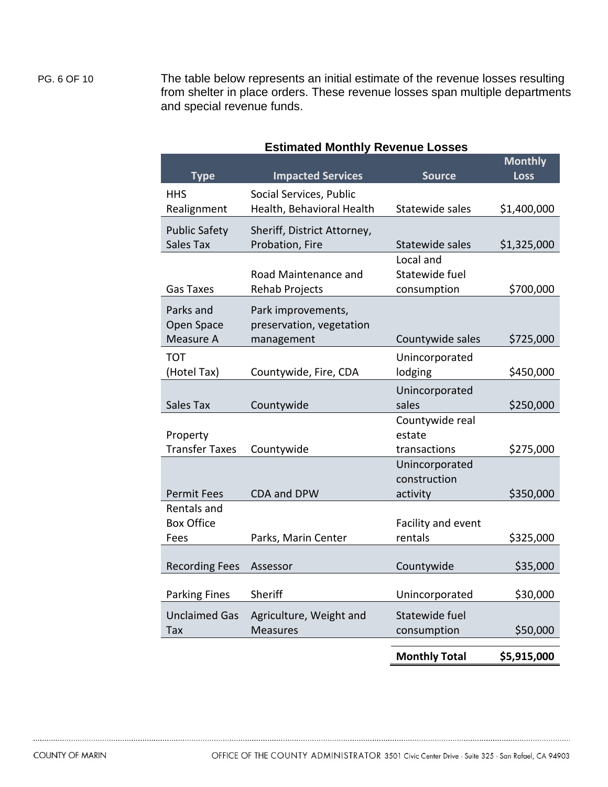PG. 6 OF 10 The table below represents an initial estimate of the revenue losses resulting from shelter in place orders. These revenue losses span multiple departments and special revenue funds.

| <b>Type</b>             | <b>Impacted Services</b>                       | <b>Source</b>                  | <b>Monthly</b><br><b>Loss</b> |
|-------------------------|------------------------------------------------|--------------------------------|-------------------------------|
| <b>HHS</b>              | Social Services, Public                        |                                |                               |
| Realignment             | Health, Behavioral Health                      | Statewide sales                | \$1,400,000                   |
| <b>Public Safety</b>    | Sheriff, District Attorney,                    |                                |                               |
| Sales Tax               | Probation, Fire                                | Statewide sales                | \$1,325,000                   |
|                         |                                                | Local and                      |                               |
| <b>Gas Taxes</b>        | Road Maintenance and<br><b>Rehab Projects</b>  | Statewide fuel<br>consumption  | \$700,000                     |
|                         |                                                |                                |                               |
| Parks and<br>Open Space | Park improvements,<br>preservation, vegetation |                                |                               |
| Measure A               | management                                     | Countywide sales               | \$725,000                     |
| <b>TOT</b>              |                                                | Unincorporated                 |                               |
| (Hotel Tax)             | Countywide, Fire, CDA                          | lodging                        | \$450,000                     |
|                         |                                                | Unincorporated                 |                               |
| Sales Tax               | Countywide                                     | sales                          | \$250,000                     |
|                         |                                                | Countywide real                |                               |
| Property                |                                                | estate                         |                               |
| <b>Transfer Taxes</b>   | Countywide                                     | transactions<br>Unincorporated | \$275,000                     |
|                         |                                                | construction                   |                               |
| <b>Permit Fees</b>      | CDA and DPW                                    | activity                       | \$350,000                     |
| Rentals and             |                                                |                                |                               |
| <b>Box Office</b>       |                                                | Facility and event             |                               |
| Fees                    | Parks, Marin Center                            | rentals                        | \$325,000                     |
| <b>Recording Fees</b>   | Assessor                                       | Countywide                     | \$35,000                      |
|                         |                                                |                                |                               |
| <b>Parking Fines</b>    | Sheriff                                        | Unincorporated                 | \$30,000                      |
| <b>Unclaimed Gas</b>    | Agriculture, Weight and                        | Statewide fuel                 |                               |
| Tax                     | <b>Measures</b>                                | consumption                    | \$50,000                      |
|                         |                                                | <b>Monthly Total</b>           | \$5,915,000                   |

### **Estimated Monthly Revenue Losses**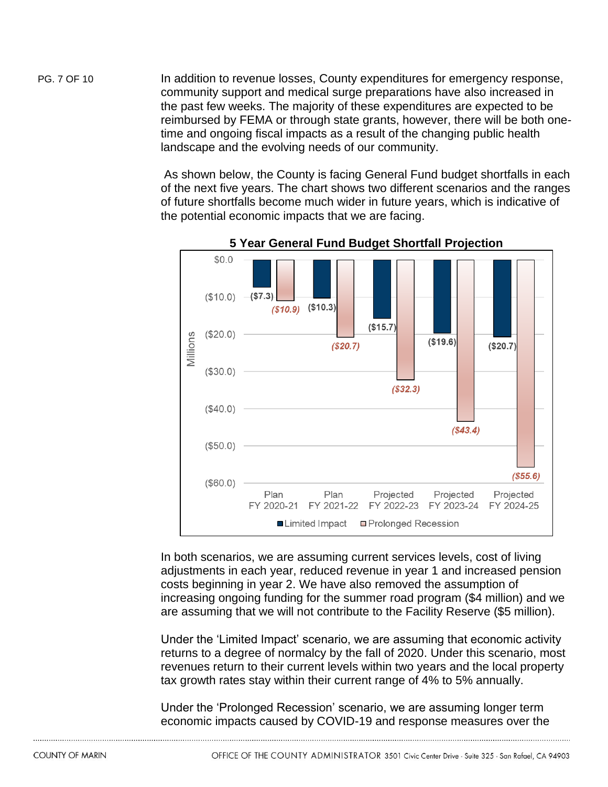PG. 7 OF 10 In addition to revenue losses, County expenditures for emergency response, community support and medical surge preparations have also increased in the past few weeks. The majority of these expenditures are expected to be reimbursed by FEMA or through state grants, however, there will be both onetime and ongoing fiscal impacts as a result of the changing public health landscape and the evolving needs of our community.

> As shown below, the County is facing General Fund budget shortfalls in each of the next five years. The chart shows two different scenarios and the ranges of future shortfalls become much wider in future years, which is indicative of the potential economic impacts that we are facing.



**5 Year General Fund Budget Shortfall Projection**

In both scenarios, we are assuming current services levels, cost of living adjustments in each year, reduced revenue in year 1 and increased pension costs beginning in year 2. We have also removed the assumption of increasing ongoing funding for the summer road program (\$4 million) and we are assuming that we will not contribute to the Facility Reserve (\$5 million).

Under the 'Limited Impact' scenario, we are assuming that economic activity returns to a degree of normalcy by the fall of 2020. Under this scenario, most revenues return to their current levels within two years and the local property tax growth rates stay within their current range of 4% to 5% annually.

Under the 'Prolonged Recession' scenario, we are assuming longer term economic impacts caused by COVID-19 and response measures over the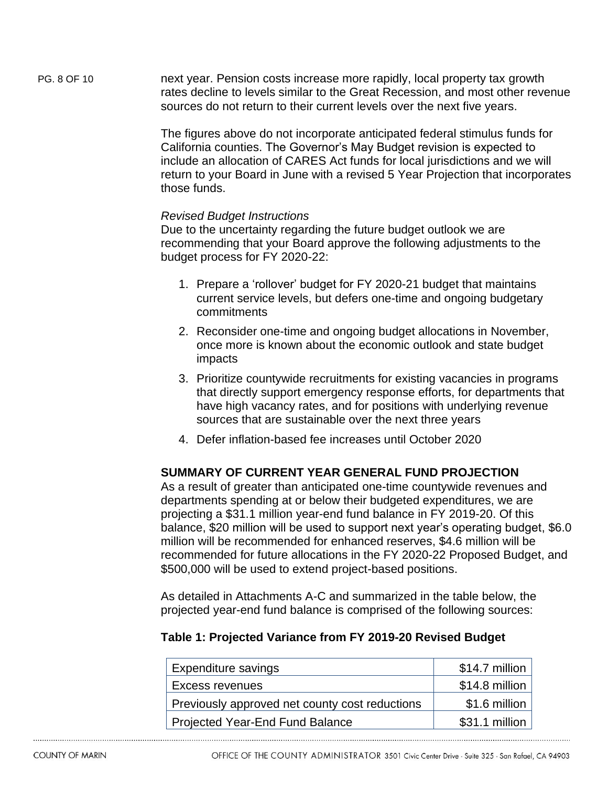PG. 8 OF 10 next year. Pension costs increase more rapidly, local property tax growth rates decline to levels similar to the Great Recession, and most other revenue sources do not return to their current levels over the next five years.

> The figures above do not incorporate anticipated federal stimulus funds for California counties. The Governor's May Budget revision is expected to include an allocation of CARES Act funds for local jurisdictions and we will return to your Board in June with a revised 5 Year Projection that incorporates those funds.

### *Revised Budget Instructions*

Due to the uncertainty regarding the future budget outlook we are recommending that your Board approve the following adjustments to the budget process for FY 2020-22:

- 1. Prepare a 'rollover' budget for FY 2020-21 budget that maintains current service levels, but defers one-time and ongoing budgetary commitments
- 2. Reconsider one-time and ongoing budget allocations in November, once more is known about the economic outlook and state budget impacts
- 3. Prioritize countywide recruitments for existing vacancies in programs that directly support emergency response efforts, for departments that have high vacancy rates, and for positions with underlying revenue sources that are sustainable over the next three years
- 4. Defer inflation-based fee increases until October 2020

# **SUMMARY OF CURRENT YEAR GENERAL FUND PROJECTION**

As a result of greater than anticipated one-time countywide revenues and departments spending at or below their budgeted expenditures, we are projecting a \$31.1 million year-end fund balance in FY 2019-20. Of this balance, \$20 million will be used to support next year's operating budget, \$6.0 million will be recommended for enhanced reserves, \$4.6 million will be recommended for future allocations in the FY 2020-22 Proposed Budget, and \$500,000 will be used to extend project-based positions.

As detailed in Attachments A-C and summarized in the table below, the projected year-end fund balance is comprised of the following sources:

# **Table 1: Projected Variance from FY 2019-20 Revised Budget**

| Expenditure savings                            | $$14.7$ million |
|------------------------------------------------|-----------------|
| Excess revenues                                | $$14.8$ million |
| Previously approved net county cost reductions | $$1.6$ million  |
| Projected Year-End Fund Balance                | \$31.1 million  |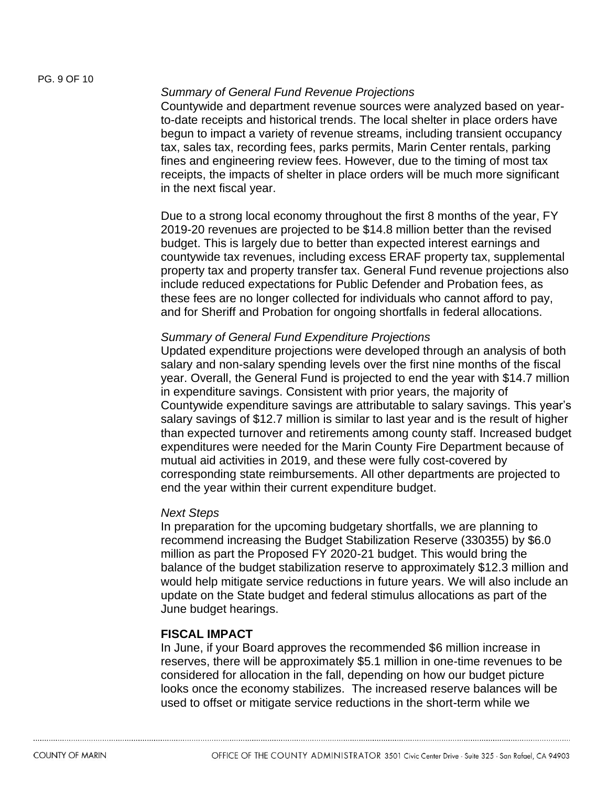#### *Summary of General Fund Revenue Projections*

Countywide and department revenue sources were analyzed based on yearto-date receipts and historical trends. The local shelter in place orders have begun to impact a variety of revenue streams, including transient occupancy tax, sales tax, recording fees, parks permits, Marin Center rentals, parking fines and engineering review fees. However, due to the timing of most tax receipts, the impacts of shelter in place orders will be much more significant in the next fiscal year.

Due to a strong local economy throughout the first 8 months of the year, FY 2019-20 revenues are projected to be \$14.8 million better than the revised budget. This is largely due to better than expected interest earnings and countywide tax revenues, including excess ERAF property tax, supplemental property tax and property transfer tax. General Fund revenue projections also include reduced expectations for Public Defender and Probation fees, as these fees are no longer collected for individuals who cannot afford to pay, and for Sheriff and Probation for ongoing shortfalls in federal allocations.

#### *Summary of General Fund Expenditure Projections*

Updated expenditure projections were developed through an analysis of both salary and non-salary spending levels over the first nine months of the fiscal year. Overall, the General Fund is projected to end the year with \$14.7 million in expenditure savings. Consistent with prior years, the majority of Countywide expenditure savings are attributable to salary savings. This year's salary savings of \$12.7 million is similar to last year and is the result of higher than expected turnover and retirements among county staff. Increased budget expenditures were needed for the Marin County Fire Department because of mutual aid activities in 2019, and these were fully cost-covered by corresponding state reimbursements. All other departments are projected to end the year within their current expenditure budget.

#### *Next Steps*

In preparation for the upcoming budgetary shortfalls, we are planning to recommend increasing the Budget Stabilization Reserve (330355) by \$6.0 million as part the Proposed FY 2020-21 budget. This would bring the balance of the budget stabilization reserve to approximately \$12.3 million and would help mitigate service reductions in future years. We will also include an update on the State budget and federal stimulus allocations as part of the June budget hearings.

### **FISCAL IMPACT**

In June, if your Board approves the recommended \$6 million increase in reserves, there will be approximately \$5.1 million in one-time revenues to be considered for allocation in the fall, depending on how our budget picture looks once the economy stabilizes. The increased reserve balances will be used to offset or mitigate service reductions in the short-term while we